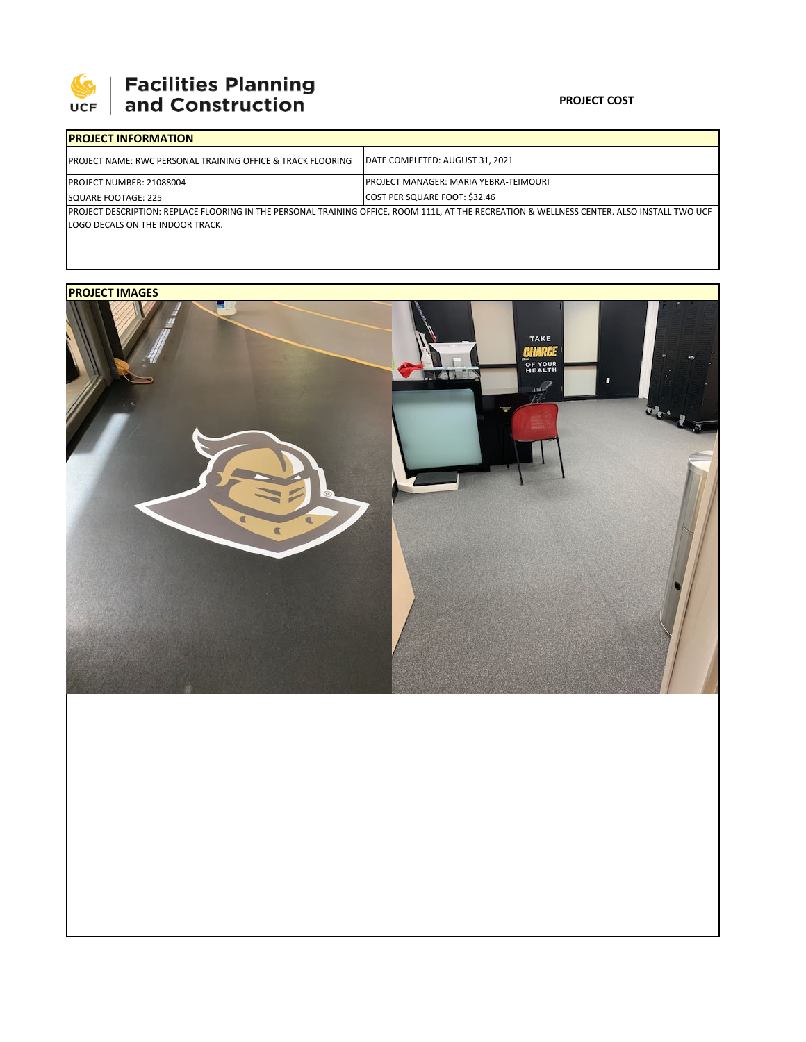

# | Facilities Planning<br>| and Construction

### **PROJECT COST**

| <b>IPROJECT INFORMATION</b>                                                                                                                                                     |                                               |  |  |  |  |
|---------------------------------------------------------------------------------------------------------------------------------------------------------------------------------|-----------------------------------------------|--|--|--|--|
| <b>IPROJECT NAME: RWC PERSONAL TRAINING OFFICE &amp; TRACK FLOORING</b>                                                                                                         | <b>IDATE COMPLETED: AUGUST 31, 2021</b>       |  |  |  |  |
| <b>PROJECT NUMBER: 21088004</b>                                                                                                                                                 | <b>IPROJECT MANAGER: MARIA YEBRA-TEIMOURI</b> |  |  |  |  |
| SQUARE FOOTAGE: 225                                                                                                                                                             | COST PER SQUARE FOOT: \$32.46                 |  |  |  |  |
| PROJECT DESCRIPTION: REPLACE FLOORING IN THE PERSONAL TRAINING OFFICE, ROOM 111L, AT THE RECREATION & WELLNESS CENTER. ALSO INSTALL TWO UCF<br>LOGO DECALS ON THE INDOOR TRACK. |                                               |  |  |  |  |

## **PROJECT IMAGES**